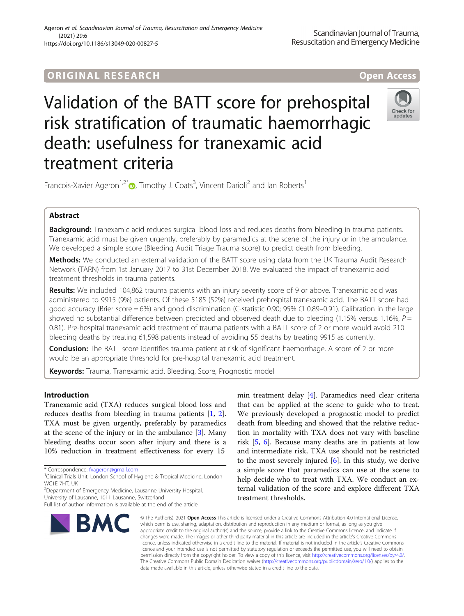# **ORIGINAL RESEARCH AND LOCAL CONTROL** CONTROL CONTROL CONTROL CONTROL CONTROL CONTROL CONTROL CONTROL CONTROL CON

# Validation of the BATT score for prehospital risk stratification of traumatic haemorrhagic death: usefulness for tranexamic acid treatment criteria



Francois-Xavier Ageron<sup>1[,](http://orcid.org/0000-0003-0520-3619)2\*</sup>®, Timothy J. Coats<sup>3</sup>, Vincent Darioli<sup>2</sup> and Ian Roberts<sup>1</sup>

# Abstract

Background: Tranexamic acid reduces surgical blood loss and reduces deaths from bleeding in trauma patients. Tranexamic acid must be given urgently, preferably by paramedics at the scene of the injury or in the ambulance. We developed a simple score (Bleeding Audit Triage Trauma score) to predict death from bleeding.

Methods: We conducted an external validation of the BATT score using data from the UK Trauma Audit Research Network (TARN) from 1st January 2017 to 31st December 2018. We evaluated the impact of tranexamic acid treatment thresholds in trauma patients.

Results: We included 104,862 trauma patients with an injury severity score of 9 or above. Tranexamic acid was administered to 9915 (9%) patients. Of these 5185 (52%) received prehospital tranexamic acid. The BATT score had good accuracy (Brier score = 6%) and good discrimination (C-statistic 0.90; 95% CI 0.89–0.91). Calibration in the large showed no substantial difference between predicted and observed death due to bleeding (1.15% versus 1.16%,  $P =$ 0.81). Pre-hospital tranexamic acid treatment of trauma patients with a BATT score of 2 or more would avoid 210 bleeding deaths by treating 61,598 patients instead of avoiding 55 deaths by treating 9915 as currently.

Conclusion: The BATT score identifies trauma patient at risk of significant haemorrhage. A score of 2 or more would be an appropriate threshold for pre-hospital tranexamic acid treatment.

**Keywords:** Trauma, Tranexamic acid, Bleeding, Score, Prognostic model

# Introduction

Tranexamic acid (TXA) reduces surgical blood loss and reduces deaths from bleeding in trauma patients [\[1](#page-8-0), [2](#page-8-0)]. TXA must be given urgently, preferably by paramedics at the scene of the injury or in the ambulance [[3\]](#page-8-0). Many bleeding deaths occur soon after injury and there is a 10% reduction in treatment effectiveness for every 15

\* Correspondence: [fxageron@gmail.com](mailto:fxageron@gmail.com) <sup>1</sup>

<sup>2</sup>Department of Emergency Medicine, Lausanne University Hospital,

Full list of author information is available at the end of the article



min treatment delay [\[4](#page-8-0)]. Paramedics need clear criteria that can be applied at the scene to guide who to treat. We previously developed a prognostic model to predict death from bleeding and showed that the relative reduction in mortality with TXA does not vary with baseline risk [\[5,](#page-8-0) [6](#page-8-0)]. Because many deaths are in patients at low and intermediate risk, TXA use should not be restricted to the most severely injured [[6\]](#page-8-0). In this study, we derive a simple score that paramedics can use at the scene to help decide who to treat with TXA. We conduct an external validation of the score and explore different TXA treatment thresholds.

© The Author(s). 2021 Open Access This article is licensed under a Creative Commons Attribution 4.0 International License, which permits use, sharing, adaptation, distribution and reproduction in any medium or format, as long as you give appropriate credit to the original author(s) and the source, provide a link to the Creative Commons licence, and indicate if changes were made. The images or other third party material in this article are included in the article's Creative Commons licence, unless indicated otherwise in a credit line to the material. If material is not included in the article's Creative Commons licence and your intended use is not permitted by statutory regulation or exceeds the permitted use, you will need to obtain permission directly from the copyright holder. To view a copy of this licence, visit [http://creativecommons.org/licenses/by/4.0/.](http://creativecommons.org/licenses/by/4.0/) The Creative Commons Public Domain Dedication waiver [\(http://creativecommons.org/publicdomain/zero/1.0/](http://creativecommons.org/publicdomain/zero/1.0/)) applies to the data made available in this article, unless otherwise stated in a credit line to the data.

<sup>&</sup>lt;sup>1</sup>Clinical Trials Unit, London School of Hygiene & Tropical Medicine, London WC1E 7HT, UK

University of Lausanne, 1011 Lausanne, Switzerland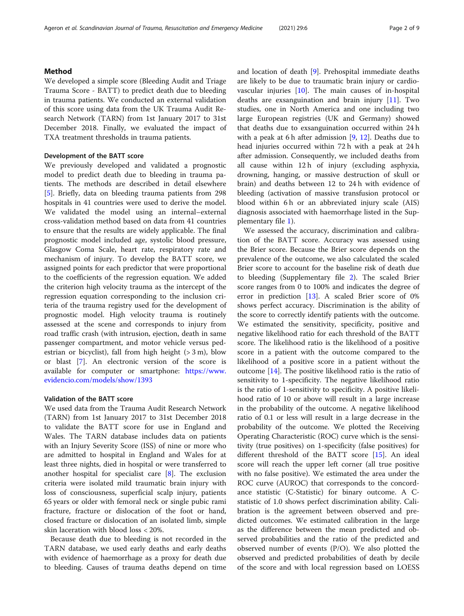#### Method

We developed a simple score (Bleeding Audit and Triage Trauma Score - BATT) to predict death due to bleeding in trauma patients. We conducted an external validation of this score using data from the UK Trauma Audit Research Network (TARN) from 1st January 2017 to 31st December 2018. Finally, we evaluated the impact of TXA treatment thresholds in trauma patients.

#### Development of the BATT score

We previously developed and validated a prognostic model to predict death due to bleeding in trauma patients. The methods are described in detail elsewhere [[5\]](#page-8-0). Briefly, data on bleeding trauma patients from 298 hospitals in 41 countries were used to derive the model. We validated the model using an internal–external cross-validation method based on data from 41 countries to ensure that the results are widely applicable. The final prognostic model included age, systolic blood pressure, Glasgow Coma Scale, heart rate, respiratory rate and mechanism of injury. To develop the BATT score, we assigned points for each predictor that were proportional to the coefficients of the regression equation. We added the criterion high velocity trauma as the intercept of the regression equation corresponding to the inclusion criteria of the trauma registry used for the development of prognostic model. High velocity trauma is routinely assessed at the scene and corresponds to injury from road traffic crash (with intrusion, ejection, death in same passenger compartment, and motor vehicle versus pedestrian or bicyclist), fall from high height  $(> 3 m)$ , blow or blast [\[7](#page-8-0)]. An electronic version of the score is available for computer or smartphone: [https://www.](https://www.evidencio.com/models/show/1393) [evidencio.com/models/show/1393](https://www.evidencio.com/models/show/1393)

#### Validation of the BATT score

We used data from the Trauma Audit Research Network (TARN) from 1st January 2017 to 31st December 2018 to validate the BATT score for use in England and Wales. The TARN database includes data on patients with an Injury Severity Score (ISS) of nine or more who are admitted to hospital in England and Wales for at least three nights, died in hospital or were transferred to another hospital for specialist care  $[8]$  $[8]$ . The exclusion criteria were isolated mild traumatic brain injury with loss of consciousness, superficial scalp injury, patients 65 years or older with femoral neck or single pubic rami fracture, fracture or dislocation of the foot or hand, closed fracture or dislocation of an isolated limb, simple skin laceration with blood loss < 20%.

Because death due to bleeding is not recorded in the TARN database, we used early deaths and early deaths with evidence of haemorrhage as a proxy for death due to bleeding. Causes of trauma deaths depend on time and location of death [[9\]](#page-8-0). Prehospital immediate deaths are likely to be due to traumatic brain injury or cardiovascular injuries [[10\]](#page-8-0). The main causes of in-hospital deaths are exsanguination and brain injury [[11](#page-8-0)]. Two studies, one in North America and one including two large European registries (UK and Germany) showed that deaths due to exsanguination occurred within 24 h with a peak at 6 h after admission [[9,](#page-8-0) [12\]](#page-8-0). Deaths due to head injuries occurred within 72 h with a peak at 24 h after admission. Consequently, we included deaths from all cause within 12 h of injury (excluding asphyxia, drowning, hanging, or massive destruction of skull or brain) and deaths between 12 to 24 h with evidence of bleeding (activation of massive transfusion protocol or blood within 6 h or an abbreviated injury scale (AIS) diagnosis associated with haemorrhage listed in the Supplementary file [1\)](#page-7-0).

We assessed the accuracy, discrimination and calibration of the BATT score. Accuracy was assessed using the Brier score. Because the Brier score depends on the prevalence of the outcome, we also calculated the scaled Brier score to account for the baseline risk of death due to bleeding (Supplementary file [2\)](#page-7-0). The scaled Brier score ranges from 0 to 100% and indicates the degree of error in prediction [[13](#page-8-0)]. A scaled Brier score of 0% shows perfect accuracy. Discrimination is the ability of the score to correctly identify patients with the outcome. We estimated the sensitivity, specificity, positive and negative likelihood ratio for each threshold of the BATT score. The likelihood ratio is the likelihood of a positive score in a patient with the outcome compared to the likelihood of a positive score in a patient without the outcome [[14](#page-8-0)]. The positive likelihood ratio is the ratio of sensitivity to 1-specificity. The negative likelihood ratio is the ratio of 1-sensitivity to specificity. A positive likelihood ratio of 10 or above will result in a large increase in the probability of the outcome. A negative likelihood ratio of 0.1 or less will result in a large decrease in the probability of the outcome. We plotted the Receiving Operating Characteristic (ROC) curve which is the sensitivity (true positives) on 1-specificity (false positives) for different threshold of the BATT score [\[15](#page-8-0)]. An ideal score will reach the upper left corner (all true positive with no false positive). We estimated the area under the ROC curve (AUROC) that corresponds to the concordance statistic (C-Statistic) for binary outcome. A Cstatistic of 1.0 shows perfect discrimination ability. Calibration is the agreement between observed and predicted outcomes. We estimated calibration in the large as the difference between the mean predicted and observed probabilities and the ratio of the predicted and observed number of events (P/O). We also plotted the observed and predicted probabilities of death by decile of the score and with local regression based on LOESS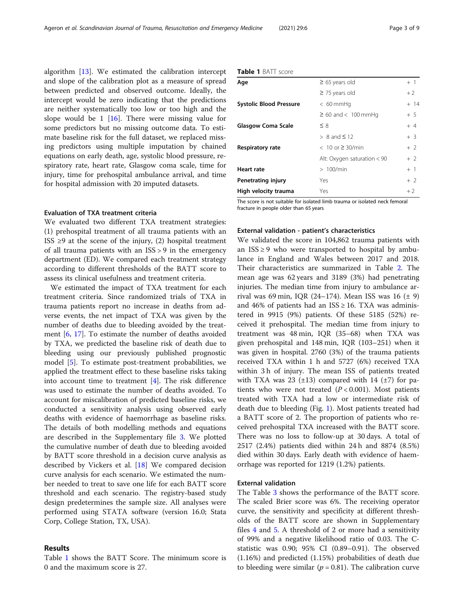algorithm [\[13](#page-8-0)]. We estimated the calibration intercept and slope of the calibration plot as a measure of spread between predicted and observed outcome. Ideally, the intercept would be zero indicating that the predictions are neither systematically too low or too high and the slope would be 1  $[16]$  $[16]$  $[16]$ . There were missing value for some predictors but no missing outcome data. To estimate baseline risk for the full dataset, we replaced missing predictors using multiple imputation by chained equations on early death, age, systolic blood pressure, respiratory rate, heart rate, Glasgow coma scale, time for injury, time for prehospital ambulance arrival, and time for hospital admission with 20 imputed datasets.

#### Evaluation of TXA treatment criteria

We evaluated two different TXA treatment strategies: (1) prehospital treatment of all trauma patients with an ISS ≥9 at the scene of the injury, (2) hospital treatment of all trauma patients with an ISS > 9 in the emergency department (ED). We compared each treatment strategy according to different thresholds of the BATT score to assess its clinical usefulness and treatment criteria.

We estimated the impact of TXA treatment for each treatment criteria. Since randomized trials of TXA in trauma patients report no increase in deaths from adverse events, the net impact of TXA was given by the number of deaths due to bleeding avoided by the treatment [\[6](#page-8-0), [17\]](#page-8-0). To estimate the number of deaths avoided by TXA, we predicted the baseline risk of death due to bleeding using our previously published prognostic model [\[5](#page-8-0)]. To estimate post-treatment probabilities, we applied the treatment effect to these baseline risks taking into account time to treatment [\[4](#page-8-0)]. The risk difference was used to estimate the number of deaths avoided. To account for miscalibration of predicted baseline risks, we conducted a sensitivity analysis using observed early deaths with evidence of haemorrhage as baseline risks. The details of both modelling methods and equations are described in the Supplementary file [3.](#page-7-0) We plotted the cumulative number of death due to bleeding avoided by BATT score threshold in a decision curve analysis as described by Vickers et al. [\[18](#page-8-0)] We compared decision curve analysis for each scenario. We estimated the number needed to treat to save one life for each BATT score threshold and each scenario. The registry-based study design predetermines the sample size. All analyses were performed using STATA software (version 16.0; Stata Corp, College Station, TX, USA).

#### Results

Table 1 shows the BATT Score. The minimum score is 0 and the maximum score is 27.

| Table 1 BATT score |
|--------------------|
|                    |

| Age                            | $\geq$ 65 years old           | $+1$   |
|--------------------------------|-------------------------------|--------|
|                                | $\geq$ 75 years old           | $+2$   |
| <b>Systolic Blood Pressure</b> | $< 60$ mmHq                   | $+ 14$ |
|                                | $\geq 60$ and $< 100$ mmHq    | $+5$   |
| <b>Glasgow Coma Scale</b>      | $\leq 8$                      | $+4$   |
|                                | $> 8$ and $\leq 12$           | $+3$   |
| <b>Respiratory rate</b>        | $< 10$ or $\geq 30$ /min      | $+2$   |
|                                | Alt: Oxygen saturation $< 90$ | $+2$   |
| <b>Heart rate</b>              | >100/min                      | $+1$   |
| Penetrating injury             | Yes                           | $+2$   |
| High velocity trauma           | Yes                           | $+2$   |

The score is not suitable for isolated limb trauma or isolated neck femoral fracture in people older than 65 years

#### External validation - patient's characteristics

We validated the score in 104,862 trauma patients with an  $ISS \geq 9$  who were transported to hospital by ambulance in England and Wales between 2017 and 2018. Their characteristics are summarized in Table [2.](#page-3-0) The mean age was 62 years and 3189 (3%) had penetrating injuries. The median time from injury to ambulance arrival was 69 min, IQR (24–174). Mean ISS was 16  $(\pm 9)$ and 46% of patients had an  $ISS \geq 16$ . TXA was administered in 9915 (9%) patients. Of these 5185 (52%) received it prehospital. The median time from injury to treatment was 48 min, IQR (35–68) when TXA was given prehospital and 148 min, IQR (103–251) when it was given in hospital. 2760 (3%) of the trauma patients received TXA within 1 h and 5727 (6%) received TXA within 3 h of injury. The mean ISS of patients treated with TXA was 23  $(\pm 13)$  compared with 14  $(\pm 7)$  for patients who were not treated  $(P < 0.001)$ . Most patients treated with TXA had a low or intermediate risk of death due to bleeding (Fig. [1\)](#page-4-0). Most patients treated had a BATT score of 2. The proportion of patients who received prehospital TXA increased with the BATT score. There was no loss to follow-up at 30 days. A total of 2517 (2.4%) patients died within 24 h and 8874 (8.5%) died within 30 days. Early death with evidence of haemorrhage was reported for 1219 (1.2%) patients.

#### External validation

The Table [3](#page-4-0) shows the performance of the BATT score. The scaled Brier score was 6%. The receiving operator curve, the sensitivity and specificity at different thresholds of the BATT score are shown in Supplementary files [4](#page-7-0) and [5](#page-7-0). A threshold of 2 or more had a sensitivity of 99% and a negative likelihood ratio of 0.03. The Cstatistic was 0.90; 95% CI (0.89–0.91). The observed (1.16%) and predicted (1.15%) probabilities of death due to bleeding were similar ( $p = 0.81$ ). The calibration curve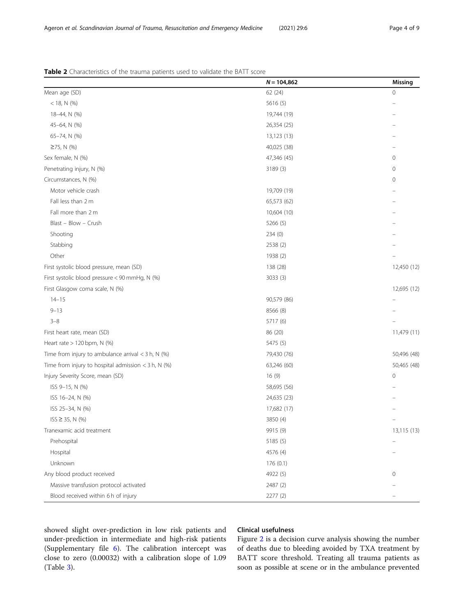<span id="page-3-0"></span>

|  | Table 2 Characteristics of the trauma patients used to validate the BATT score |
|--|--------------------------------------------------------------------------------|
|--|--------------------------------------------------------------------------------|

|                                                       | $N = 104,862$ | Missing                  |
|-------------------------------------------------------|---------------|--------------------------|
| Mean age (SD)                                         | 62 (24)       | $\mathbf 0$              |
| $<$ 18, N (%)                                         | 5616(5)       |                          |
| 18-44, N (%)                                          | 19,744 (19)   |                          |
| 45-64, N (%)                                          | 26,354 (25)   |                          |
| 65-74, N (%)                                          | 13,123 (13)   |                          |
| $≥75, N$ (%)                                          | 40,025 (38)   |                          |
| Sex female, N (%)                                     | 47,346 (45)   | $\mathbf 0$              |
| Penetrating injury, N (%)                             | 3189 (3)      | $\mathbf 0$              |
| Circumstances, N (%)                                  |               | 0                        |
| Motor vehicle crash                                   | 19,709 (19)   |                          |
| Fall less than 2 m                                    | 65,573 (62)   |                          |
| Fall more than 2 m                                    | 10,604 (10)   |                          |
| Blast - Blow - Crush                                  | 5266 (5)      |                          |
| Shooting                                              | 234(0)        |                          |
| Stabbing                                              | 2538 (2)      |                          |
| Other                                                 | 1938 (2)      |                          |
| First systolic blood pressure, mean (SD)              | 138 (28)      | 12,450 (12)              |
| First systolic blood pressure < 90 mmHg, N (%)        | 3033 (3)      |                          |
| First Glasgow coma scale, N (%)                       |               | 12,695 (12)              |
| $14 - 15$                                             | 90,579 (86)   |                          |
| $9 - 13$                                              | 8566 (8)      |                          |
| $3 - 8$                                               | 5717 (6)      |                          |
| First heart rate, mean (SD)                           | 86 (20)       | 11,479 (11)              |
| Heart rate > 120 bpm, N (%)                           | 5475 (5)      |                          |
| Time from injury to ambulance arrival $<$ 3 h, N (%)  | 79,430 (76)   | 50,496 (48)              |
| Time from injury to hospital admission $<$ 3 h, N (%) | 63,246 (60)   | 50,465 (48)              |
| Injury Severity Score, mean (SD)                      | 16 (9)        | $\mathbf 0$              |
| ISS 9-15, N (%)                                       | 58,695 (56)   |                          |
| ISS 16-24, N (%)                                      | 24,635 (23)   |                          |
| ISS 25-34, N (%)                                      | 17,682 (17)   |                          |
| $ISS \geq 35, N$ (%)                                  | 3850 (4)      |                          |
| Tranexamic acid treatment                             | 9915 (9)      | 13,115 (13)              |
| Prehospital                                           | 5185 (5)      | $\overline{\phantom{0}}$ |
| Hospital                                              | 4576 (4)      |                          |
| Unknown                                               | 176(0.1)      |                          |
| Any blood product received                            | 4922 (5)      | 0                        |
| Massive transfusion protocol activated                | 2487 (2)      |                          |
| Blood received within 6 h of injury                   | 2277 (2)      |                          |

showed slight over-prediction in low risk patients and under-prediction in intermediate and high-risk patients (Supplementary file [6](#page-7-0)). The calibration intercept was close to zero (0.00032) with a calibration slope of 1.09 (Table [3\)](#page-4-0).

#### Clinical usefulness

Figure [2](#page-5-0) is a decision curve analysis showing the number of deaths due to bleeding avoided by TXA treatment by BATT score threshold. Treating all trauma patients as soon as possible at scene or in the ambulance prevented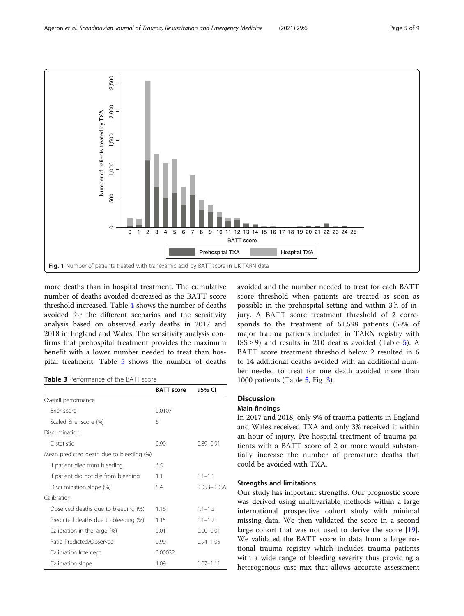<span id="page-4-0"></span>

more deaths than in hospital treatment. The cumulative number of deaths avoided decreased as the BATT score threshold increased. Table [4](#page-5-0) shows the number of deaths avoided for the different scenarios and the sensitivity analysis based on observed early deaths in 2017 and 2018 in England and Wales. The sensitivity analysis confirms that prehospital treatment provides the maximum benefit with a lower number needed to treat than hospital treatment. Table [5](#page-6-0) shows the number of deaths

Table 3 Performance of the BATT score

|                                          | <b>BATT</b> score | 95% CI          |
|------------------------------------------|-------------------|-----------------|
| Overall performance                      |                   |                 |
| Brier score                              | 0.0107            |                 |
| Scaled Brier score (%)                   | 6                 |                 |
| Discrimination                           |                   |                 |
| C-statistic                              | 0.90              | $0.89 - 0.91$   |
| Mean predicted death due to bleeding (%) |                   |                 |
| If patient died from bleeding            | 6.5               |                 |
| If patient did not die from bleeding     | 1.1               | $1.1 - 1.1$     |
| Discrimination slope (%)                 | 5.4               | $0.053 - 0.056$ |
| Calibration                              |                   |                 |
| Observed deaths due to bleeding (%)      | 1.16              | $1.1 - 1.2$     |
| Predicted deaths due to bleeding (%)     | 1.15              | $1.1 - 1.2$     |
| Calibration-in-the-large (%)             | 0.01              | $0.00 - 0.01$   |
| Ratio Predicted/Observed                 | 0.99              | $0.94 - 1.05$   |
| Calibration Intercept                    | 0.00032           |                 |
| Calibration slope                        | 1.09              | $1.07 - 1.11$   |

avoided and the number needed to treat for each BATT score threshold when patients are treated as soon as possible in the prehospital setting and within 3 h of injury. A BATT score treatment threshold of 2 corresponds to the treatment of 61,598 patients (59% of major trauma patients included in TARN registry with  $ISS \ge 9$ ) and results in 210 deaths avoided (Table [5](#page-6-0)). A BATT score treatment threshold below 2 resulted in 6 to 14 additional deaths avoided with an additional number needed to treat for one death avoided more than 1000 patients (Table [5](#page-6-0), Fig. [3\)](#page-6-0).

# **Discussion**

#### Main findings

In 2017 and 2018, only 9% of trauma patients in England and Wales received TXA and only 3% received it within an hour of injury. Pre-hospital treatment of trauma patients with a BATT score of 2 or more would substantially increase the number of premature deaths that could be avoided with TXA.

### Strengths and limitations

Our study has important strengths. Our prognostic score was derived using multivariable methods within a large international prospective cohort study with minimal missing data. We then validated the score in a second large cohort that was not used to derive the score [\[19](#page-8-0)]. We validated the BATT score in data from a large national trauma registry which includes trauma patients with a wide range of bleeding severity thus providing a heterogenous case-mix that allows accurate assessment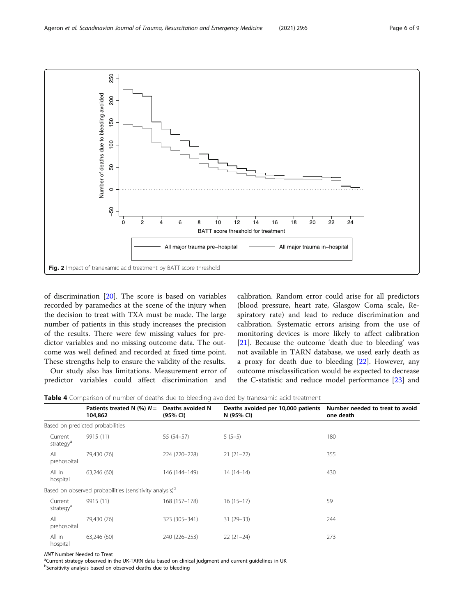<span id="page-5-0"></span>

of discrimination [[20\]](#page-8-0). The score is based on variables recorded by paramedics at the scene of the injury when the decision to treat with TXA must be made. The large number of patients in this study increases the precision of the results. There were few missing values for predictor variables and no missing outcome data. The outcome was well defined and recorded at fixed time point. These strengths help to ensure the validity of the results.

Our study also has limitations. Measurement error of predictor variables could affect discrimination and calibration. Random error could arise for all predictors (blood pressure, heart rate, Glasgow Coma scale, Respiratory rate) and lead to reduce discrimination and calibration. Systematic errors arising from the use of monitoring devices is more likely to affect calibration [[21\]](#page-8-0). Because the outcome 'death due to bleeding' was not available in TARN database, we used early death as a proxy for death due to bleeding [[22\]](#page-8-0). However, any outcome misclassification would be expected to decrease the C-statistic and reduce model performance [\[23](#page-8-0)] and

Table 4 Comparison of number of deaths due to bleeding avoided by tranexamic acid treatment

|                                  | Patients treated N $(\%) N =$<br>104,862                            | Deaths avoided N<br>(95% CI) | Deaths avoided per 10,000 patients<br>N (95% CI) | Number needed to treat to avoid<br>one death |
|----------------------------------|---------------------------------------------------------------------|------------------------------|--------------------------------------------------|----------------------------------------------|
|                                  | Based on predicted probabilities                                    |                              |                                                  |                                              |
| Current<br>strategy <sup>a</sup> | 9915 (11)                                                           | 55 (54-57)                   | $5(5-5)$                                         | 180                                          |
| All<br>prehospital               | 79,430 (76)                                                         | 224 (220-228)                | $21(21-22)$                                      | 355                                          |
| All in<br>hospital               | 63,246 (60)                                                         | 146 (144-149)                | $14(14-14)$                                      | 430                                          |
|                                  | Based on observed probabilities (sensitivity analysis) <sup>b</sup> |                              |                                                  |                                              |
| Current<br>strategy <sup>a</sup> | 9915 (11)                                                           | 168 (157-178)                | $16(15-17)$                                      | 59                                           |
| All<br>prehospital               | 79,430 (76)                                                         | 323 (305-341)                | $31(29-33)$                                      | 244                                          |
| All in<br>hospital               | 63,246 (60)                                                         | 240 (226-253)                | $22(21-24)$                                      | 273                                          |

NNT Number Needed to Treat

<sup>a</sup>Current strategy observed in the UK-TARN data based on clinical judgment and current guidelines in UK

<sup>b</sup>Sensitivity analysis based on observed deaths due to bleeding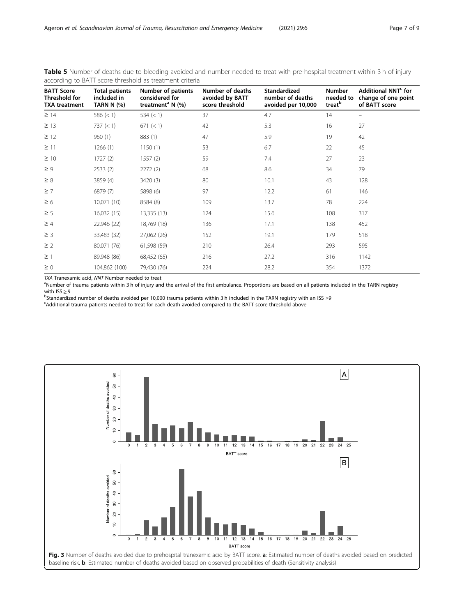<span id="page-6-0"></span>

| Table 5 Number of deaths due to bleeding avoided and number needed to treat with pre-hospital treatment within 3 h of injury |  |  |  |  |
|------------------------------------------------------------------------------------------------------------------------------|--|--|--|--|
| according to BATT score threshold as treatment criteria                                                                      |  |  |  |  |

| <b>BATT Score</b><br>Threshold for<br><b>TXA treatment</b> | <b>Total patients</b><br>included in<br><b>TARN N (%)</b> | Number of patients<br>considered for<br>treatment <sup>a</sup> N $(\%)$ | Number of deaths<br>avoided by BATT<br>score threshold | <b>Standardized</b><br>number of deaths<br>avoided per 10,000 | Number<br>needed to<br>treat <sup>b</sup> | Additional NNT <sup>c</sup> for<br>change of one point<br>of BATT score |
|------------------------------------------------------------|-----------------------------------------------------------|-------------------------------------------------------------------------|--------------------------------------------------------|---------------------------------------------------------------|-------------------------------------------|-------------------------------------------------------------------------|
| $\geq$ 14                                                  | 586 $(< 1)$                                               | 534 $(< 1)$                                                             | 37                                                     | 4.7                                                           | 14                                        |                                                                         |
| $\geq$ 13                                                  | 737 (< 1)                                                 | 671 (< 1)                                                               | 42                                                     | 5.3                                                           | 16                                        | 27                                                                      |
| $\geq$ 12                                                  | 960(1)                                                    | 883 (1)                                                                 | 47                                                     | 5.9                                                           | 19                                        | 42                                                                      |
| $\geq$ 11                                                  | 1266(1)                                                   | 1150(1)                                                                 | 53                                                     | 6.7                                                           | 22                                        | 45                                                                      |
| $\geq 10$                                                  | 1727(2)                                                   | 1557(2)                                                                 | 59                                                     | 7.4                                                           | 27                                        | 23                                                                      |
| $\geq 9$                                                   | 2533(2)                                                   | 2272(2)                                                                 | 68                                                     | 8.6                                                           | 34                                        | 79                                                                      |
| $\geq 8$                                                   | 3859 (4)                                                  | 3420 (3)                                                                | 80                                                     | 10.1                                                          | 43                                        | 128                                                                     |
| $\geq$ 7                                                   | 6879 (7)                                                  | 5898 (6)                                                                | 97                                                     | 12.2                                                          | 61                                        | 146                                                                     |
| $\geq 6$                                                   | 10,071 (10)                                               | 8584 (8)                                                                | 109                                                    | 13.7                                                          | 78                                        | 224                                                                     |
| $\geq$ 5                                                   | 16,032(15)                                                | 13,335 (13)                                                             | 124                                                    | 15.6                                                          | 108                                       | 317                                                                     |
| $\geq 4$                                                   | 22,946 (22)                                               | 18,769 (18)                                                             | 136                                                    | 17.1                                                          | 138                                       | 452                                                                     |
| $\geq$ 3                                                   | 33,483 (32)                                               | 27,062 (26)                                                             | 152                                                    | 19.1                                                          | 179                                       | 518                                                                     |
| $\geq$ 2                                                   | 80,071 (76)                                               | 61,598 (59)                                                             | 210                                                    | 26.4                                                          | 293                                       | 595                                                                     |
| $\geq$ 1                                                   | 89,948 (86)                                               | 68,452 (65)                                                             | 216                                                    | 27.2                                                          | 316                                       | 1142                                                                    |
| $\geq 0$                                                   | 104,862 (100)                                             | 79,430 (76)                                                             | 224                                                    | 28.2                                                          | 354                                       | 1372                                                                    |

TXA Tranexamic acid, NNT Number needed to treat

 $\text{P}$ Number of trauma patients within 3 h of injury and the arrival of the first ambulance. Proportions are based on all patients included in the TARN registry with ISS  $\geq$  9 with ISS ≥ 9<br><sup>b</sup>Standardi<del>a</del>

<sup>B</sup>Standardized number of deaths avoided per 10,000 trauma patients within 3 h included in the TARN registry with an ISS ≥9<br><sup>c</sup>Additional trauma patients needed to treat for each death avoided compared to the BATT score t

Additional trauma patients needed to treat for each death avoided compared to the BATT score threshold above

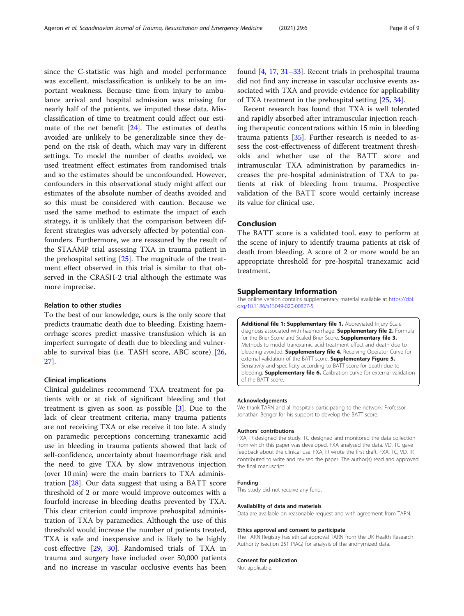<span id="page-7-0"></span>since the C-statistic was high and model performance was excellent, misclassification is unlikely to be an important weakness. Because time from injury to ambulance arrival and hospital admission was missing for nearly half of the patients, we imputed these data. Misclassification of time to treatment could affect our estimate of the net benefit [[24\]](#page-8-0). The estimates of deaths avoided are unlikely to be generalizable since they depend on the risk of death, which may vary in different settings. To model the number of deaths avoided, we used treatment effect estimates from randomised trials and so the estimates should be unconfounded. However, confounders in this observational study might affect our estimates of the absolute number of deaths avoided and so this must be considered with caution. Because we used the same method to estimate the impact of each strategy, it is unlikely that the comparison between different strategies was adversely affected by potential confounders. Furthermore, we are reassured by the result of the STAAMP trial assessing TXA in trauma patient in the prehospital setting [[25](#page-8-0)]. The magnitude of the treatment effect observed in this trial is similar to that observed in the CRASH-2 trial although the estimate was more imprecise.

#### Relation to other studies

To the best of our knowledge, ours is the only score that predicts traumatic death due to bleeding. Existing haemorrhage scores predict massive transfusion which is an imperfect surrogate of death due to bleeding and vulnerable to survival bias (i.e. TASH score, ABC score) [[26](#page-8-0), [27\]](#page-8-0).

#### Clinical implications

Clinical guidelines recommend TXA treatment for patients with or at risk of significant bleeding and that treatment is given as soon as possible [\[3](#page-8-0)]. Due to the lack of clear treatment criteria, many trauma patients are not receiving TXA or else receive it too late. A study on paramedic perceptions concerning tranexamic acid use in bleeding in trauma patients showed that lack of self-confidence, uncertainty about haemorrhage risk and the need to give TXA by slow intravenous injection (over 10 min) were the main barriers to TXA administration [\[28](#page-8-0)]. Our data suggest that using a BATT score threshold of 2 or more would improve outcomes with a fourfold increase in bleeding deaths prevented by TXA. This clear criterion could improve prehospital administration of TXA by paramedics. Although the use of this threshold would increase the number of patients treated, TXA is safe and inexpensive and is likely to be highly cost-effective [[29](#page-8-0), [30\]](#page-8-0). Randomised trials of TXA in trauma and surgery have included over 50,000 patients and no increase in vascular occlusive events has been

found [\[4](#page-8-0), [17](#page-8-0), [31](#page-8-0)–[33](#page-8-0)]. Recent trials in prehospital trauma did not find any increase in vascular occlusive events associated with TXA and provide evidence for applicability of TXA treatment in the prehospital setting [\[25,](#page-8-0) [34\]](#page-8-0).

Recent research has found that TXA is well tolerated and rapidly absorbed after intramuscular injection reaching therapeutic concentrations within 15 min in bleeding trauma patients [[35](#page-8-0)]. Further research is needed to assess the cost-effectiveness of different treatment thresholds and whether use of the BATT score and intramuscular TXA administration by paramedics increases the pre-hospital administration of TXA to patients at risk of bleeding from trauma. Prospective validation of the BATT score would certainly increase its value for clinical use.

#### Conclusion

The BATT score is a validated tool, easy to perform at the scene of injury to identify trauma patients at risk of death from bleeding. A score of 2 or more would be an appropriate threshold for pre-hospital tranexamic acid treatment.

#### Supplementary Information

The online version contains supplementary material available at [https://doi.](https://doi.org/10.1186/s13049-020-00827-5) [org/10.1186/s13049-020-00827-5.](https://doi.org/10.1186/s13049-020-00827-5)

Additional file 1: Supplementary file 1. Abbreviated Injury Scale diagnosis associated with haemorrhage. Supplementary file 2. Formula for the Brier Score and Scaled Brier Score. Supplementary file 3. Methods to model tranexamic acid treatment effect and death due to bleeding avoided. **Supplementary file 4.** Receiving Operator Curve for external validation of the BATT score. Supplementary Figure 5. Sensitivity and specificity according to BATT score for death due to bleeding. **Supplementary file 6.** Calibration curve for external validation of the BATT score.

#### Acknowledgements

We thank TARN and all hospitals participating to the network; Professor Jonathan Benger for his support to develop the BATT score.

#### Authors' contributions

FXA, IR designed the study. TC designed and monitored the data collection from which this paper was developed. FXA analysed the data. VD, TC gave feedback about the clinical use. FXA, IR wrote the first draft. FXA, TC, VD, IR contributed to write and revised the paper. The author(s) read and approved the final manuscript.

#### Funding

This study did not receive any fund.

#### Availability of data and materials

Data are available on reasonable request and with agreement from TARN.

#### Ethics approval and consent to participate

The TARN Registry has ethical approval TARN from the UK Health Research Authority (section 251 PIAG) for analysis of the anonymized data.

#### Consent for publication

Not applicable.